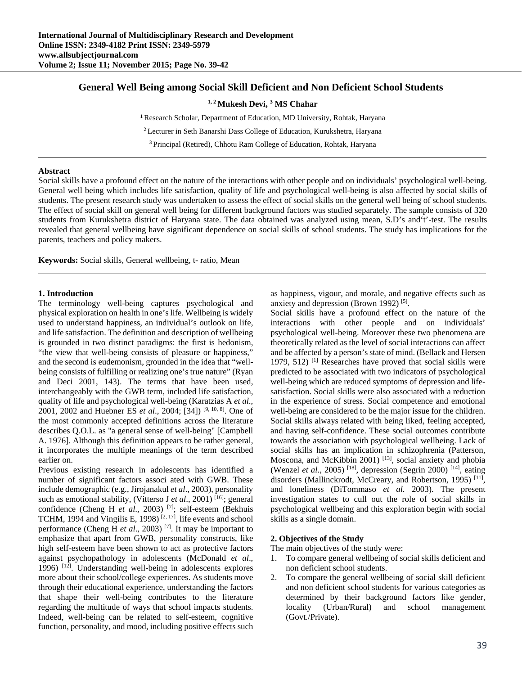# **General Well Being among Social Skill Deficient and Non Deficient School Students**

<sup>1, 2</sup> Mukesh Devi, <sup>3</sup> MS Chahar

**<sup>1</sup>**Research Scholar, Department of Education, MD University, Rohtak, Haryana

2 Lecturer in Seth Banarshi Dass College of Education, Kurukshetra, Haryana

3 Principal (Retired), Chhotu Ram College of Education, Rohtak, Haryana

### **Abstract**

Social skills have a profound effect on the nature of the interactions with other people and on individuals' psychological well-being. General well being which includes life satisfaction, quality of life and psychological well-being is also affected by social skills of students. The present research study was undertaken to assess the effect of social skills on the general well being of school students. The effect of social skill on general well being for different background factors was studied separately. The sample consists of 320 students from Kurukshetra district of Haryana state. The data obtained was analyzed using mean, S.D's and't'-test. The results revealed that general wellbeing have significant dependence on social skills of school students. The study has implications for the parents, teachers and policy makers.

**Keywords:** Social skills, General wellbeing, t- ratio, Mean

## **1. Introduction**

The terminology well-being captures psychological and physical exploration on health in one's life. Wellbeing is widely used to understand happiness, an individual's outlook on life, and life satisfaction. The definition and description of wellbeing is grounded in two distinct paradigms: the first is hedonism, "the view that well-being consists of pleasure or happiness," and the second is eudemonism, grounded in the idea that "wellbeing consists of fulfilling or realizing one's true nature" (Ryan and Deci 2001, 143). The terms that have been used, interchangeably with the GWB term, included life satisfaction, quality of life and psychological well-being (Karatzias A *et al*., 2001, 2002 and Huebner ES *et al*., 2004; [34]) [9, 10, 8]. One of the most commonly accepted definitions across the literature describes Q.O.L. as "a general sense of well-being" [Campbell A. 1976]. Although this definition appears to be rather general, it incorporates the multiple meanings of the term described earlier on.

Previous existing research in adolescents has identified a number of significant factors associ ated with GWB. These include demographic (e.g., Jirojanakul *et al*., 2003), personality such as emotional stability, (Vitterso J *et al.*, 2001)<sup>[16]</sup>; general confidence (Cheng H *et al.*, 2003)<sup>[7]</sup>; self-esteem (Bekhuis TCHM, 1994 and Vingilis E, 1998)<sup>[2, 17]</sup>, life events and school performance (Cheng H *et al*., 2003) [7]. It may be important to emphasize that apart from GWB, personality constructs, like high self-esteem have been shown to act as protective factors against psychopathology in adolescents (McDonald *et al*., 1996) [12]. Understanding well-being in adolescents explores more about their school/college experiences. As students move through their educational experience, understanding the factors that shape their well-being contributes to the literature regarding the multitude of ways that school impacts students. Indeed, well-being can be related to self-esteem, cognitive function, personality, and mood, including positive effects such

as happiness, vigour, and morale, and negative effects such as anxiety and depression (Brown 1992) [5].

Social skills have a profound effect on the nature of the interactions with other people and on individuals' psychological well-being. Moreover these two phenomena are theoretically related as the level of social interactions can affect and be affected by a person's state of mind. (Bellack and Hersen 1979, 512)  $[1]$  Researches have proved that social skills were predicted to be associated with two indicators of psychological well-being which are reduced symptoms of depression and lifesatisfaction. Social skills were also associated with a reduction in the experience of stress. Social competence and emotional well-being are considered to be the major issue for the children. Social skills always related with being liked, feeling accepted, and having self-confidence. These social outcomes contribute towards the association with psychological wellbeing. Lack of social skills has an implication in schizophrenia (Patterson, Moscona, and McKibbin 2001)<sup>[13]</sup>, social anxiety and phobia (Wenzel *et al*., 2005) [18], depression (Segrin 2000) [14], eating disorders (Mallinckrodt, McCreary, and Robertson, 1995)<sup>[11]</sup>, and loneliness (DiTommaso *et al*. 2003). The present investigation states to cull out the role of social skills in psychological wellbeing and this exploration begin with social skills as a single domain.

### **2. Objectives of the Study**

The main objectives of the study were:

- 1. To compare general wellbeing of social skills deficient and non deficient school students.
- 2. To compare the general wellbeing of social skill deficient and non deficient school students for various categories as determined by their background factors like gender, locality (Urban/Rural) and school management (Govt./Private).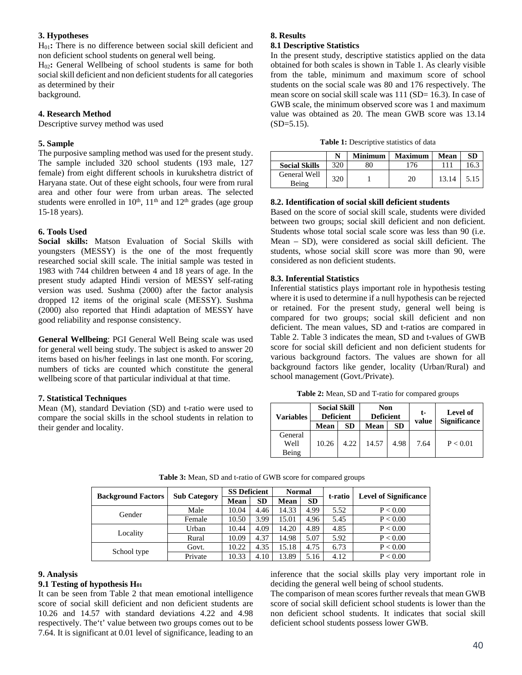## **3. Hypotheses**

H01**:** There is no difference between social skill deficient and non deficient school students on general well being.

H02**:** General Wellbeing of school students is same for both social skill deficient and non deficient students for all categories as determined by their background.

### **4. Research Method**

Descriptive survey method was used

#### **5. Sample**

The purposive sampling method was used for the present study. The sample included 320 school students (193 male, 127 female) from eight different schools in kurukshetra district of Haryana state. Out of these eight schools, four were from rural area and other four were from urban areas. The selected students were enrolled in  $10^{th}$ ,  $11^{th}$  and  $12^{th}$  grades (age group 15-18 years).

### **6. Tools Used**

**Social skills:** Matson Evaluation of Social Skills with youngsters (MESSY) is the one of the most frequently researched social skill scale. The initial sample was tested in 1983 with 744 children between 4 and 18 years of age. In the present study adapted Hindi version of MESSY self-rating version was used. Sushma (2000) after the factor analysis dropped 12 items of the original scale (MESSY). Sushma (2000) also reported that Hindi adaptation of MESSY have good reliability and response consistency.

**General Wellbeing**: PGI General Well Being scale was used for general well being study. The subject is asked to answer 20 items based on his/her feelings in last one month. For scoring, numbers of ticks are counted which constitute the general wellbeing score of that particular individual at that time.

## **7. Statistical Techniques**

Mean (M), standard Deviation (SD) and t-ratio were used to compare the social skills in the school students in relation to their gender and locality.

#### **8. Results**

#### **8.1 Descriptive Statistics**

In the present study, descriptive statistics applied on the data obtained for both scales is shown in Table 1. As clearly visible from the table, minimum and maximum score of school students on the social scale was 80 and 176 respectively. The mean score on social skill scale was 111 (SD= 16.3). In case of GWB scale, the minimum observed score was 1 and maximum value was obtained as 20. The mean GWB score was 13.14  $(SD=5.15)$ .

|  | <b>Table 1:</b> Descriptive statistics of data |  |  |
|--|------------------------------------------------|--|--|
|--|------------------------------------------------|--|--|

|                       |     | <b>Minimum</b> | <b>Maximum</b> | <b>Mean</b> | SD   |
|-----------------------|-----|----------------|----------------|-------------|------|
| <b>Social Skills</b>  | 320 | 80             | 76             |             | 16.5 |
| General Well<br>Being | 320 |                | 20             | 13.14       | 5.15 |

#### **8.2. Identification of social skill deficient students**

Based on the score of social skill scale, students were divided between two groups; social skill deficient and non deficient. Students whose total social scale score was less than 90 (i.e. Mean – SD), were considered as social skill deficient. The students, whose social skill score was more than 90, were considered as non deficient students.

### **8.3. Inferential Statistics**

Inferential statistics plays important role in hypothesis testing where it is used to determine if a null hypothesis can be rejected or retained. For the present study, general well being is compared for two groups; social skill deficient and non deficient. The mean values, SD and t-ratios are compared in Table 2. Table 3 indicates the mean, SD and t-values of GWB score for social skill deficient and non deficient students for various background factors. The values are shown for all background factors like gender, locality (Urban/Rural) and school management (Govt./Private).

**Table 2:** Mean, SD and T-ratio for compared groups

| <b>Variables</b>         | <b>Social Skill</b><br><b>Deficient</b> |           | <b>Non</b><br><b>Deficient</b> |           | t-<br>value | Level of<br><b>Significance</b> |  |
|--------------------------|-----------------------------------------|-----------|--------------------------------|-----------|-------------|---------------------------------|--|
|                          | Mean                                    | <b>SD</b> | Mean                           | <b>SD</b> |             |                                 |  |
| General<br>Well<br>Being | 10.26                                   | 4.22      | 14.57                          | 4.98      | 7.64        | P < 0.01                        |  |

| <b>Background Factors</b> | <b>Sub Category</b> | <b>SS Deficient</b> |      | <b>Normal</b> |           | t-ratio | <b>Level of Significance</b> |  |
|---------------------------|---------------------|---------------------|------|---------------|-----------|---------|------------------------------|--|
|                           |                     | <b>Mean</b>         | SD   | <b>Mean</b>   | <b>SD</b> |         |                              |  |
| Gender                    | Male                | 10.04               | 4.46 | 14.33         | 4.99      | 5.52    | P < 0.00                     |  |
|                           | Female              | 10.50               | 3.99 | 15.01         | 4.96      | 5.45    | P < 0.00                     |  |
| Locality                  | Urban               | 10.44               | 4.09 | 14.20         | 4.89      | 4.85    | P < 0.00                     |  |
|                           | Rural               | 10.09               | 4.37 | 14.98         | 5.07      | 5.92    | P < 0.00                     |  |
| School type               | Govt.               | 10.22               | 4.35 | 15.18         | 4.75      | 6.73    | P < 0.00                     |  |
|                           | Private             | 10.33               | 4.10 | 13.89         | 5.16      | 4.12    | P < 0.00                     |  |

**Table 3:** Mean, SD and t-ratio of GWB score for compared groups

#### **9. Analysis**

#### **9.1 Testing of hypothesis H01**

It can be seen from Table 2 that mean emotional intelligence score of social skill deficient and non deficient students are 10.26 and 14.57 with standard deviations 4.22 and 4.98 respectively. The't' value between two groups comes out to be 7.64. It is significant at 0.01 level of significance, leading to an

inference that the social skills play very important role in deciding the general well being of school students.

The comparison of mean scores further reveals that mean GWB score of social skill deficient school students is lower than the non deficient school students. It indicates that social skill deficient school students possess lower GWB.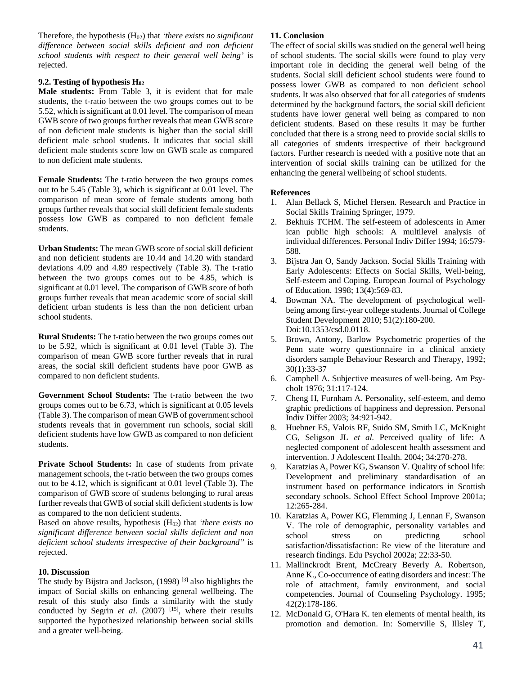Therefore, the hypothesis (H02) that *'there exists no significant difference between social skills deficient and non deficient school students with respect to their general well being'* is rejected.

## **9.2. Testing of hypothesis H02**

**Male students:** From Table 3, it is evident that for male students, the t-ratio between the two groups comes out to be 5.52, which is significant at 0.01 level. The comparison of mean GWB score of two groups further reveals that mean GWB score of non deficient male students is higher than the social skill deficient male school students. It indicates that social skill deficient male students score low on GWB scale as compared to non deficient male students.

**Female Students:** The t-ratio between the two groups comes out to be 5.45 (Table 3), which is significant at 0.01 level. The comparison of mean score of female students among both groups further reveals that social skill deficient female students possess low GWB as compared to non deficient female students.

**Urban Students:** The mean GWB score of social skill deficient and non deficient students are 10.44 and 14.20 with standard deviations 4.09 and 4.89 respectively (Table 3). The t-ratio between the two groups comes out to be 4.85, which is significant at 0.01 level. The comparison of GWB score of both groups further reveals that mean academic score of social skill deficient urban students is less than the non deficient urban school students.

**Rural Students:** The t-ratio between the two groups comes out to be 5.92, which is significant at 0.01 level (Table 3). The comparison of mean GWB score further reveals that in rural areas, the social skill deficient students have poor GWB as compared to non deficient students.

**Government School Students:** The t-ratio between the two groups comes out to be 6.73, which is significant at 0.05 levels (Table 3). The comparison of mean GWB of government school students reveals that in government run schools, social skill deficient students have low GWB as compared to non deficient students.

**Private School Students:** In case of students from private management schools, the t-ratio between the two groups comes out to be 4.12, which is significant at 0.01 level (Table 3). The comparison of GWB score of students belonging to rural areas further reveals that GWB of social skill deficient students is low as compared to the non deficient students.

Based on above results, hypothesis (H<sub>02</sub>) that *'there exists no significant difference between social skills deficient and non deficient school students irrespective of their background"* is rejected.

## **10. Discussion**

The study by Bijstra and Jackson,  $(1998)$ <sup>[3]</sup> also highlights the impact of Social skills on enhancing general wellbeing. The result of this study also finds a similarity with the study conducted by Segrin *et al.* (2007) <sup>[15]</sup>, where their results supported the hypothesized relationship between social skills and a greater well-being.

# **11. Conclusion**

The effect of social skills was studied on the general well being of school students. The social skills were found to play very important role in deciding the general well being of the students. Social skill deficient school students were found to possess lower GWB as compared to non deficient school students. It was also observed that for all categories of students determined by the background factors, the social skill deficient students have lower general well being as compared to non deficient students. Based on these results it may be further concluded that there is a strong need to provide social skills to all categories of students irrespective of their background factors. Further research is needed with a positive note that an intervention of social skills training can be utilized for the enhancing the general wellbeing of school students.

## **References**

- 1. Alan Bellack S, Michel Hersen. Research and Practice in Social Skills Training Springer, 1979.
- 2. Bekhuis TCHM. The self-esteem of adolescents in Amer ican public high schools: A multilevel analysis of individual differences. Personal Indiv Differ 1994; 16:579- 588.
- 3. Bijstra Jan O, Sandy Jackson. Social Skills Training with Early Adolescents: Effects on Social Skills, Well-being, Self-esteem and Coping. European Journal of Psychology of Education. 1998; 13(4):569-83.
- 4. Bowman NA. The development of psychological wellbeing among first-year college students. Journal of College Student Development 2010; 51(2):180-200. Doi:10.1353/csd.0.0118.
- 5. Brown, Antony, Barlow Psychometric properties of the Penn state worry questionnaire in a clinical anxiety disorders sample Behaviour Research and Therapy, 1992; 30(1):33-37
- 6. Campbell A. Subjective measures of well-being. Am Psycholt 1976; 31:117-124.
- 7. Cheng H, Furnham A. Personality, self-esteem, and demo graphic predictions of happiness and depression. Personal Indiv Differ 2003; 34:921-942.
- 8. Huebner ES, Valois RF, Suido SM, Smith LC, McKnight CG, Seligson JL *et al.* Perceived quality of life: A neglected component of adolescent health assessment and intervention. J Adolescent Health. 2004; 34:270-278.
- 9. Karatzias A, Power KG, Swanson V. Quality of school life: Development and preliminary standardisation of an instrument based on performance indicators in Scottish secondary schools. School Effect School Improve 2001a; 12:265-284.
- 10. Karatzias A, Power KG, Flemming J, Lennan F, Swanson V. The role of demographic, personality variables and school stress on predicting school satisfaction/dissatisfaction: Re view of the literature and research findings. Edu Psychol 2002a; 22:33-50.
- 11. Mallinckrodt Brent, McCreary Beverly A. Robertson, Anne K., Co-occurrence of eating disorders and incest: The role of attachment, family environment, and social competencies. Journal of Counseling Psychology. 1995; 42(2):178-186.
- 12. McDonald G, O'Hara K. ten elements of mental health, its promotion and demotion. In: Somerville S, Illsley T,